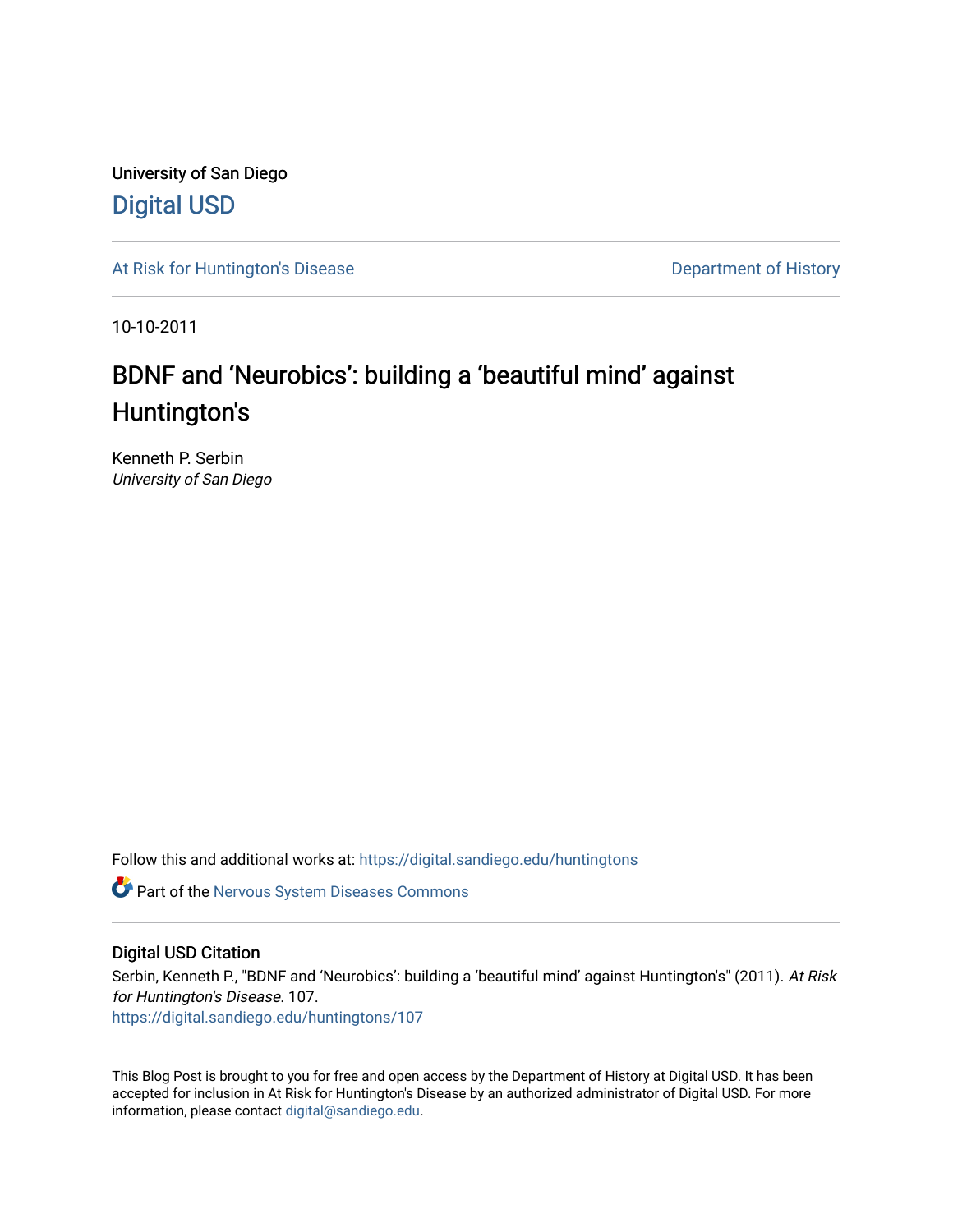University of San Diego [Digital USD](https://digital.sandiego.edu/)

[At Risk for Huntington's Disease](https://digital.sandiego.edu/huntingtons) **Department of History** Department of History

10-10-2011

# BDNF and 'Neurobics': building a 'beautiful mind' against Huntington's

Kenneth P. Serbin University of San Diego

Follow this and additional works at: [https://digital.sandiego.edu/huntingtons](https://digital.sandiego.edu/huntingtons?utm_source=digital.sandiego.edu%2Fhuntingtons%2F107&utm_medium=PDF&utm_campaign=PDFCoverPages)

Part of the [Nervous System Diseases Commons](http://network.bepress.com/hgg/discipline/928?utm_source=digital.sandiego.edu%2Fhuntingtons%2F107&utm_medium=PDF&utm_campaign=PDFCoverPages)

## Digital USD Citation

Serbin, Kenneth P., "BDNF and 'Neurobics': building a 'beautiful mind' against Huntington's" (2011). At Risk for Huntington's Disease. 107.

[https://digital.sandiego.edu/huntingtons/107](https://digital.sandiego.edu/huntingtons/107?utm_source=digital.sandiego.edu%2Fhuntingtons%2F107&utm_medium=PDF&utm_campaign=PDFCoverPages)

This Blog Post is brought to you for free and open access by the Department of History at Digital USD. It has been accepted for inclusion in At Risk for Huntington's Disease by an authorized administrator of Digital USD. For more information, please contact [digital@sandiego.edu.](mailto:digital@sandiego.edu)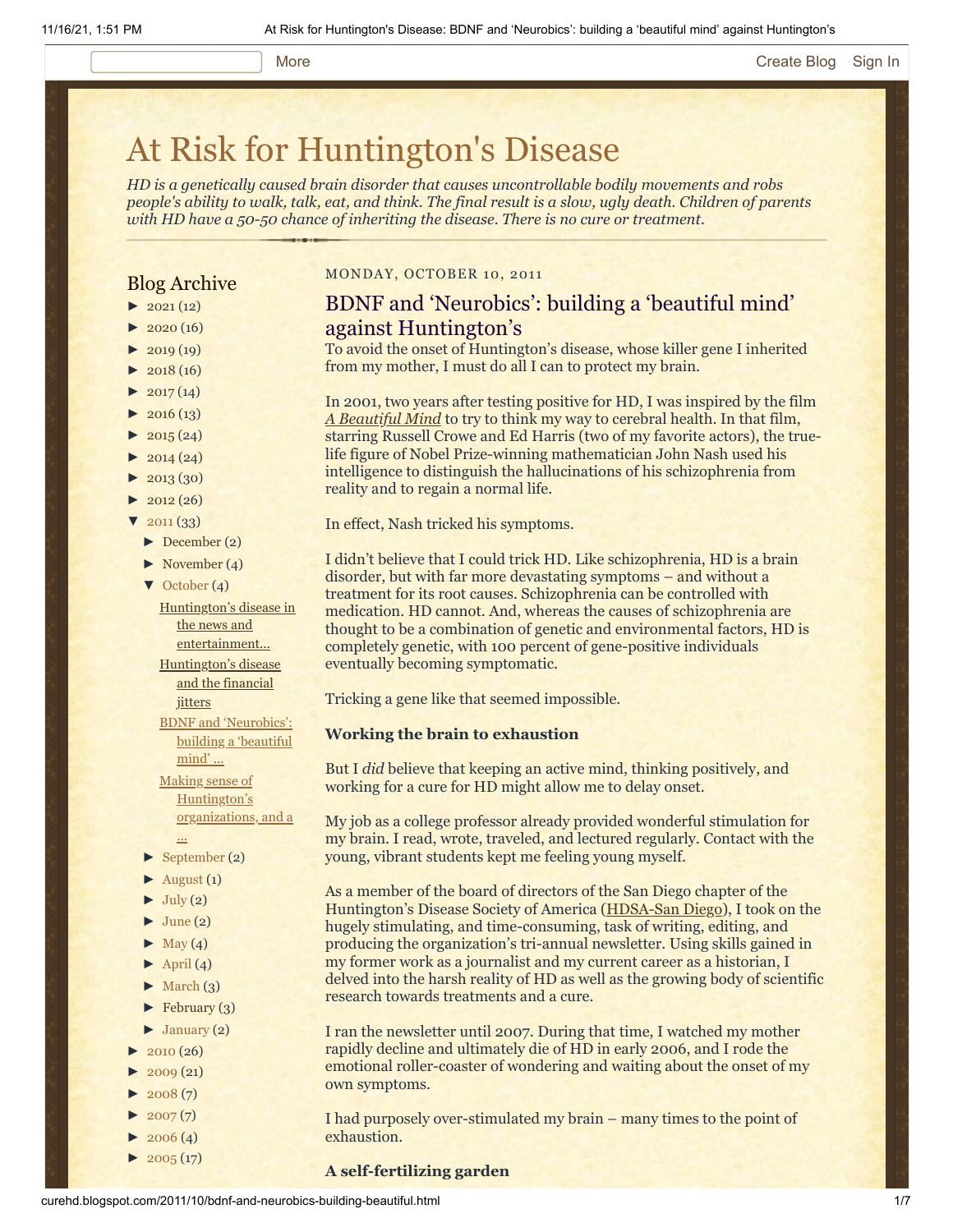#### More **[Create Blog](https://www.blogger.com/home#create) [Sign In](https://www.blogger.com/)**

# [At Risk for Huntington's Disease](http://curehd.blogspot.com/)

*HD is a genetically caused brain disorder that causes uncontrollable bodily movements and robs people's ability to walk, talk, eat, and think. The final result is a slow, ugly death. Children of parents with HD have a 50-50 chance of inheriting the disease. There is no cure or treatment.*

## Blog Archive

- $\blacktriangleright$  [2021](http://curehd.blogspot.com/2021/)(12)
- $\blacktriangleright$  [2020](http://curehd.blogspot.com/2020/) (16)
- $\blacktriangleright$  [2019](http://curehd.blogspot.com/2019/) (19)
- $\blacktriangleright$  [2018](http://curehd.blogspot.com/2018/) (16)
- $\blacktriangleright$  [2017](http://curehd.blogspot.com/2017/) (14)
- $2016(13)$  $2016(13)$
- $\blacktriangleright$  [2015](http://curehd.blogspot.com/2015/) (24)
- $\blacktriangleright$  [2014](http://curehd.blogspot.com/2014/) (24)
- $\blacktriangleright$  [2013](http://curehd.blogspot.com/2013/) (30)
- $\blacktriangleright$  [2012](http://curehd.blogspot.com/2012/) (26)
- $\sqrt{2011(33)}$  $\sqrt{2011(33)}$  $\sqrt{2011(33)}$ 
	- [►](javascript:void(0)) [December](http://curehd.blogspot.com/2011/12/) (2)
	- [►](javascript:void(0)) [November](http://curehd.blogspot.com/2011/11/) (4)
	- [▼](javascript:void(0)) [October](http://curehd.blogspot.com/2011/10/) (4)

Huntington's disease in the news and [entertainment...](http://curehd.blogspot.com/2011/10/huntingtons-disease-in-news-and.html)

[Huntington's](http://curehd.blogspot.com/2011/10/huntingtons-disease-and-financial.html) disease and the financial jitters

- BDNF and ['Neurobics':](http://curehd.blogspot.com/2011/10/bdnf-and-neurobics-building-beautiful.html) building a 'beautiful
- mind'... Making sense of
- Huntington's [organizations,](http://curehd.blogspot.com/2011/10/making-sense-of-huntingtons.html) and a
- ... [►](javascript:void(0)) [September](http://curehd.blogspot.com/2011/09/) (2)
- $\blacktriangleright$  [August](http://curehd.blogspot.com/2011/08/) (1)
- $\blacktriangleright$  [July](http://curehd.blogspot.com/2011/07/) (2)
- $\blacktriangleright$  [June](http://curehd.blogspot.com/2011/06/) (2)
- $\blacktriangleright$  [May](http://curehd.blogspot.com/2011/05/) (4)
- $\blacktriangleright$  [April](http://curehd.blogspot.com/2011/04/) (4)
- $\blacktriangleright$  [March](http://curehd.blogspot.com/2011/03/) (3)
- $\blacktriangleright$  [February](http://curehd.blogspot.com/2011/02/) (3)
- 
- $\blacktriangleright$  [January](http://curehd.blogspot.com/2011/01/) (2)
- $2010(26)$  $2010(26)$
- $2009(21)$  $2009(21)$
- $2008(7)$  $2008(7)$
- $2007(7)$  $2007(7)$
- $2006(4)$  $2006(4)$
- $\blacktriangleright$  [2005](http://curehd.blogspot.com/2005/) (17)

## MONDAY, OCTOBER 10, 2011

## BDNF and 'Neurobics': building a 'beautiful mind' against Huntington's

To avoid the onset of Huntington's disease, whose killer gene I inherited from my mother, I must do all I can to protect my brain.

In 2001, two years after testing positive for HD, I was inspired by the film *[A Beautiful Mind](http://www.imdb.com/title/tt0268978/)* to try to think my way to cerebral health. In that film, starring Russell Crowe and Ed Harris (two of my favorite actors), the truelife figure of Nobel Prize-winning mathematician John Nash used his intelligence to distinguish the hallucinations of his schizophrenia from reality and to regain a normal life.

In effect, Nash tricked his symptoms.

I didn't believe that I could trick HD. Like schizophrenia, HD is a brain disorder, but with far more devastating symptoms – and without a treatment for its root causes. Schizophrenia can be controlled with medication. HD cannot. And, whereas the causes of schizophrenia are thought to be a combination of genetic and environmental factors, HD is completely genetic, with 100 percent of gene-positive individuals eventually becoming symptomatic.

Tricking a gene like that seemed impossible.

#### **Working the brain to exhaustion**

But I *did* believe that keeping an active mind, thinking positively, and working for a cure for HD might allow me to delay onset.

My job as a college professor already provided wonderful stimulation for my brain. I read, wrote, traveled, and lectured regularly. Contact with the young, vibrant students kept me feeling young myself.

As a member of the board of directors of the San Diego chapter of the Huntington's Disease Society of America ([HDSA-San Diego](http://www.hdsasandiego.org/)), I took on the hugely stimulating, and time-consuming, task of writing, editing, and producing the organization's tri-annual newsletter. Using skills gained in my former work as a journalist and my current career as a historian, I delved into the harsh reality of HD as well as the growing body of scientific research towards treatments and a cure.

I ran the newsletter until 2007. During that time, I watched my mother rapidly decline and ultimately die of HD in early 2006, and I rode the emotional roller-coaster of wondering and waiting about the onset of my own symptoms.

I had purposely over-stimulated my brain – many times to the point of exhaustion.

#### **A self-fertilizing garden**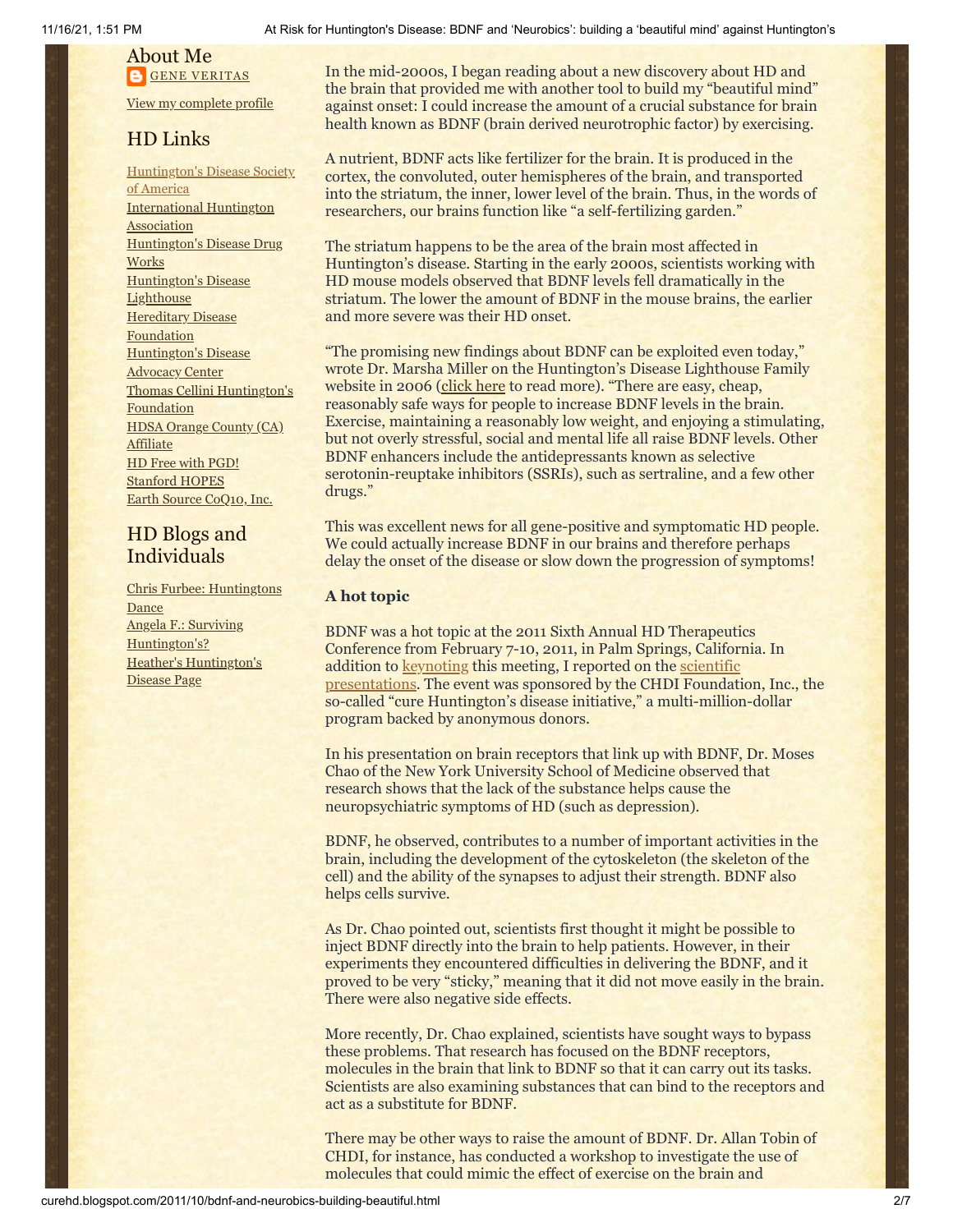# About Me **GENE [VERITAS](https://www.blogger.com/profile/10911736205741688185)**

View my [complete](https://www.blogger.com/profile/10911736205741688185) profile

## HD Links

[Huntington's](http://www.hdsa.org/) Disease Society of America [International](http://www.huntington-assoc.com/) Huntington Association [Huntington's](http://hddrugworks.org/) Disease Drug **Works** [Huntington's](http://www.hdlighthouse.org/) Disease **Lighthouse Hereditary Disease [Foundation](http://www.hdfoundation.org/)** [Huntington's](http://www.hdac.org/) Disease Advocacy Center Thomas [Cellini Huntington's](http://www.ourtchfoundation.org/) **Foundation** HDSA Orange County (CA) **[Affiliate](http://www.hdsaoc.org/)** HD Free with [PGD!](http://www.hdfreewithpgd.com/) [Stanford](http://www.stanford.edu/group/hopes/) HOPES Earth Source [CoQ10,](http://www.escoq10.com/) Inc.

## HD Blogs and Individuals

Chris Furbee: [Huntingtons](http://www.huntingtonsdance.org/) **Dance** Angela F.: Surviving [Huntington's?](http://survivinghuntingtons.blogspot.com/) Heather's [Huntington's](http://heatherdugdale.angelfire.com/) Disease Page

In the mid-2000s, I began reading about a new discovery about HD and the brain that provided me with another tool to build my "beautiful mind" against onset: I could increase the amount of a crucial substance for brain health known as BDNF (brain derived neurotrophic factor) by exercising.

A nutrient, BDNF acts like fertilizer for the brain. It is produced in the cortex, the convoluted, outer hemispheres of the brain, and transported into the striatum, the inner, lower level of the brain. Thus, in the words of researchers, our brains function like "a self-fertilizing garden."

The striatum happens to be the area of the brain most affected in Huntington's disease. Starting in the early 2000s, scientists working with HD mouse models observed that BDNF levels fell dramatically in the striatum. The lower the amount of BDNF in the mouse brains, the earlier and more severe was their HD onset.

"The promising new findings about BDNF can be exploited even today," wrote Dr. Marsha Miller on the Huntington's Disease Lighthouse Family website in 2006 ([click here](http://www.hdlf.org/node/183) to read more). "There are easy, cheap, reasonably safe ways for people to increase BDNF levels in the brain. Exercise, maintaining a reasonably low weight, and enjoying a stimulating, but not overly stressful, social and mental life all raise BDNF levels. Other BDNF enhancers include the antidepressants known as selective serotonin-reuptake inhibitors (SSRIs), such as sertraline, and a few other drugs."

This was excellent news for all gene-positive and symptomatic HD people. We could actually increase BDNF in our brains and therefore perhaps delay the onset of the disease or slow down the progression of symptoms!

## **A hot topic**

BDNF was a hot topic at the 2011 Sixth Annual HD Therapeutics Conference from February 7-10, 2011, in Palm Springs, California. In addition to **keynoting** this meeting, I reported on the **scientific** [presentations. The event was sponsored by the CHDI Foundati](http://curehd.blogspot.com/2011/02/drug-hunters-bring-hope-to-huntingtons.html)on, Inc., the so-called "cure Huntington's disease initiative," a multi-million-dollar program backed by anonymous donors.

In his presentation on brain receptors that link up with BDNF, Dr. Moses Chao of the New York University School of Medicine observed that research shows that the lack of the substance helps cause the neuropsychiatric symptoms of HD (such as depression).

BDNF, he observed, contributes to a number of important activities in the brain, including the development of the cytoskeleton (the skeleton of the cell) and the ability of the synapses to adjust their strength. BDNF also helps cells survive.

As Dr. Chao pointed out, scientists first thought it might be possible to inject BDNF directly into the brain to help patients. However, in their experiments they encountered difficulties in delivering the BDNF, and it proved to be very "sticky," meaning that it did not move easily in the brain. There were also negative side effects.

More recently, Dr. Chao explained, scientists have sought ways to bypass these problems. That research has focused on the BDNF receptors, molecules in the brain that link to BDNF so that it can carry out its tasks. Scientists are also examining substances that can bind to the receptors and act as a substitute for BDNF.

There may be other ways to raise the amount of BDNF. Dr. Allan Tobin of CHDI, for instance, has conducted a workshop to investigate the use of molecules that could mimic the effect of exercise on the brain and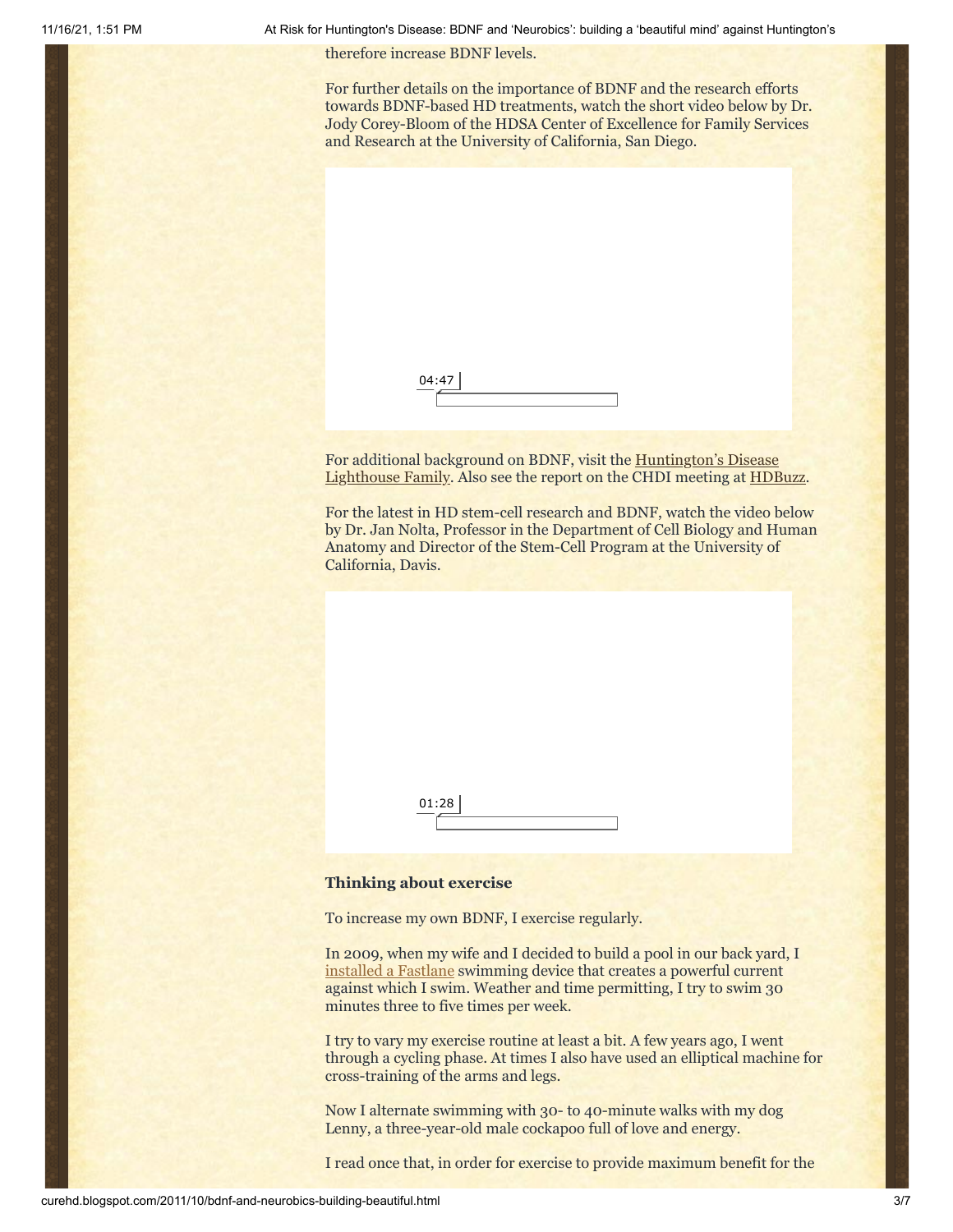11/16/21, 1:51 PM At Risk for Huntington's Disease: BDNF and 'Neurobics': building a 'beautiful mind' against Huntington's

therefore increase BDNF levels.

For further details on the importance of BDNF and the research efforts towards BDNF-based HD treatments, watch the short video below by Dr. Jody Corey-Bloom of the HDSA Center of Excellence for Family Services and Research at the University of California, San Diego.

| 04:47 |  |  |  |
|-------|--|--|--|
|       |  |  |  |

For additional background on BDNF, visit the Huntington's Disease [Lighthouse Family. Also see the report on the CHDI meeting at HD](http://www.hdlf.org/taxonomy/term/29)[Buzz.](http://hdbuzz.net/19)

For the latest in HD stem-cell research and BDNF, watch the video below by Dr. Jan Nolta, Professor in the Department of Cell Biology and Human Anatomy and Director of the Stem-Cell Program at the University of California, Davis.



### **Thinking about exercise**

To increase my own BDNF, I exercise regularly.

In 2009, when my wife and I decided to build a pool in our back yard, I [installed a Fastlane](http://curehd.blogspot.com/2010/08/my-friend-fast-lane.html) swimming device that creates a powerful current against which I swim. Weather and time permitting, I try to swim 30 minutes three to five times per week.

I try to vary my exercise routine at least a bit. A few years ago, I went through a cycling phase. At times I also have used an elliptical machine for cross-training of the arms and legs.

Now I alternate swimming with 30- to 40-minute walks with my dog Lenny, a three-year-old male cockapoo full of love and energy.

I read once that, in order for exercise to provide maximum benefit for the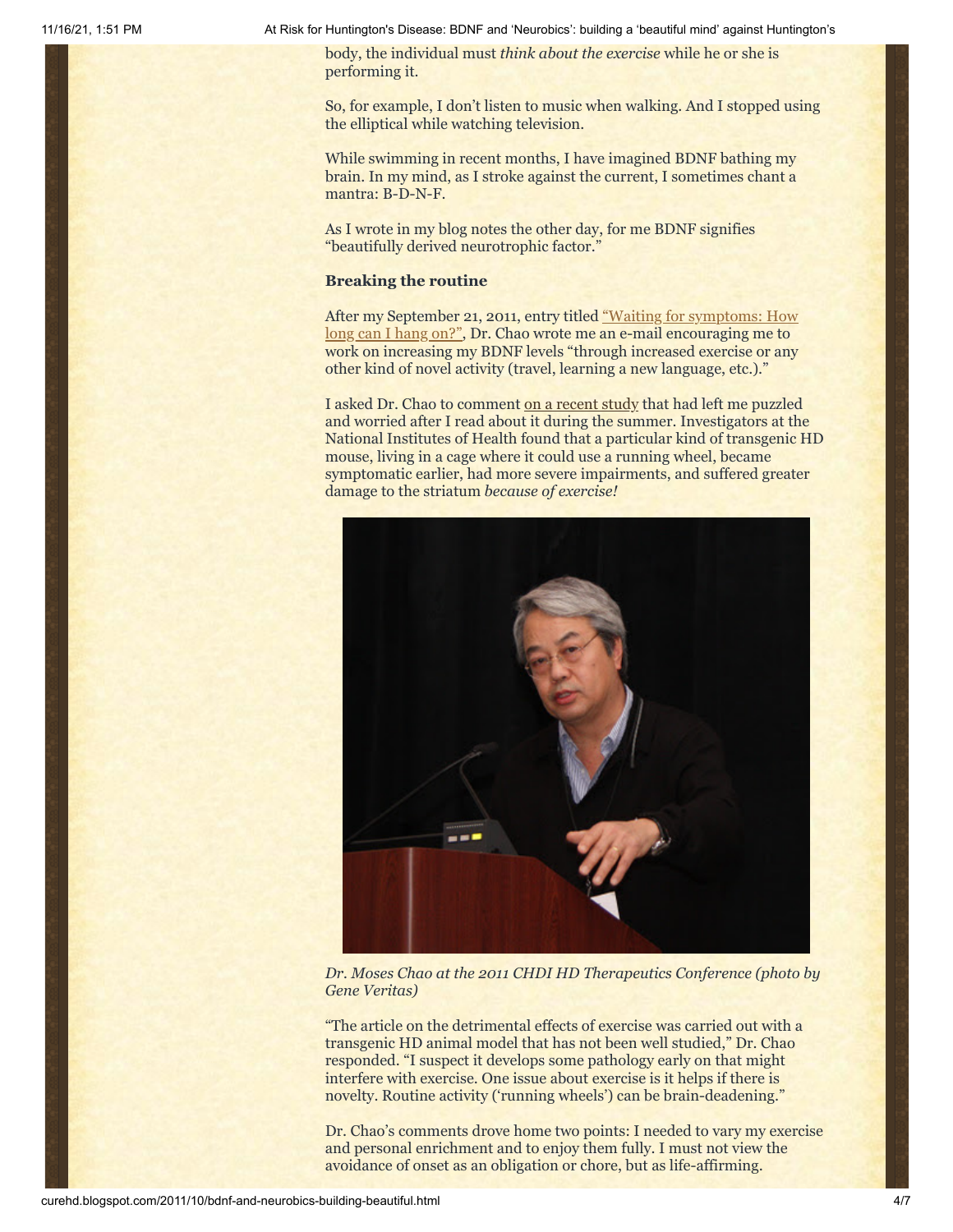11/16/21, 1:51 PM At Risk for Huntington's Disease: BDNF and 'Neurobics': building a 'beautiful mind' against Huntington's

body, the individual must *think about the exercise* while he or she is performing it.

So, for example, I don't listen to music when walking. And I stopped using the elliptical while watching television.

While swimming in recent months, I have imagined BDNF bathing my brain. In my mind, as I stroke against the current, I sometimes chant a mantra: B-D-N-F.

As I wrote in my blog notes the other day, for me BDNF signifies "beautifully derived neurotrophic factor."

## **Breaking the routine**

[After my September 21, 2011, entry titled "Waiting for symptoms: How](http://curehd.blogspot.com/2011/09/waiting-for-symptoms-how-long-can-i.html) long can I hang on?", Dr. Chao wrote me an e-mail encouraging me to work on increasing my BDNF levels "through increased exercise or any other kind of novel activity (travel, learning a new language, etc.)."

I asked Dr. Chao to comment [on a recent study](http://www.hdlf.org/node/537) that had left me puzzled and worried after I read about it during the summer. Investigators at the National Institutes of Health found that a particular kind of transgenic HD mouse, living in a cage where it could use a running wheel, became symptomatic earlier, had more severe impairments, and suffered greater damage to the striatum *because of exercise!*



*Dr. Moses Chao at the 2011 CHDI HD Therapeutics Conference (photo by Gene Veritas)*

"The article on the detrimental effects of exercise was carried out with a transgenic HD animal model that has not been well studied," Dr. Chao responded. "I suspect it develops some pathology early on that might interfere with exercise. One issue about exercise is it helps if there is novelty. Routine activity ('running wheels') can be brain-deadening."

Dr. Chao's comments drove home two points: I needed to vary my exercise and personal enrichment and to enjoy them fully. I must not view the avoidance of onset as an obligation or chore, but as life-affirming.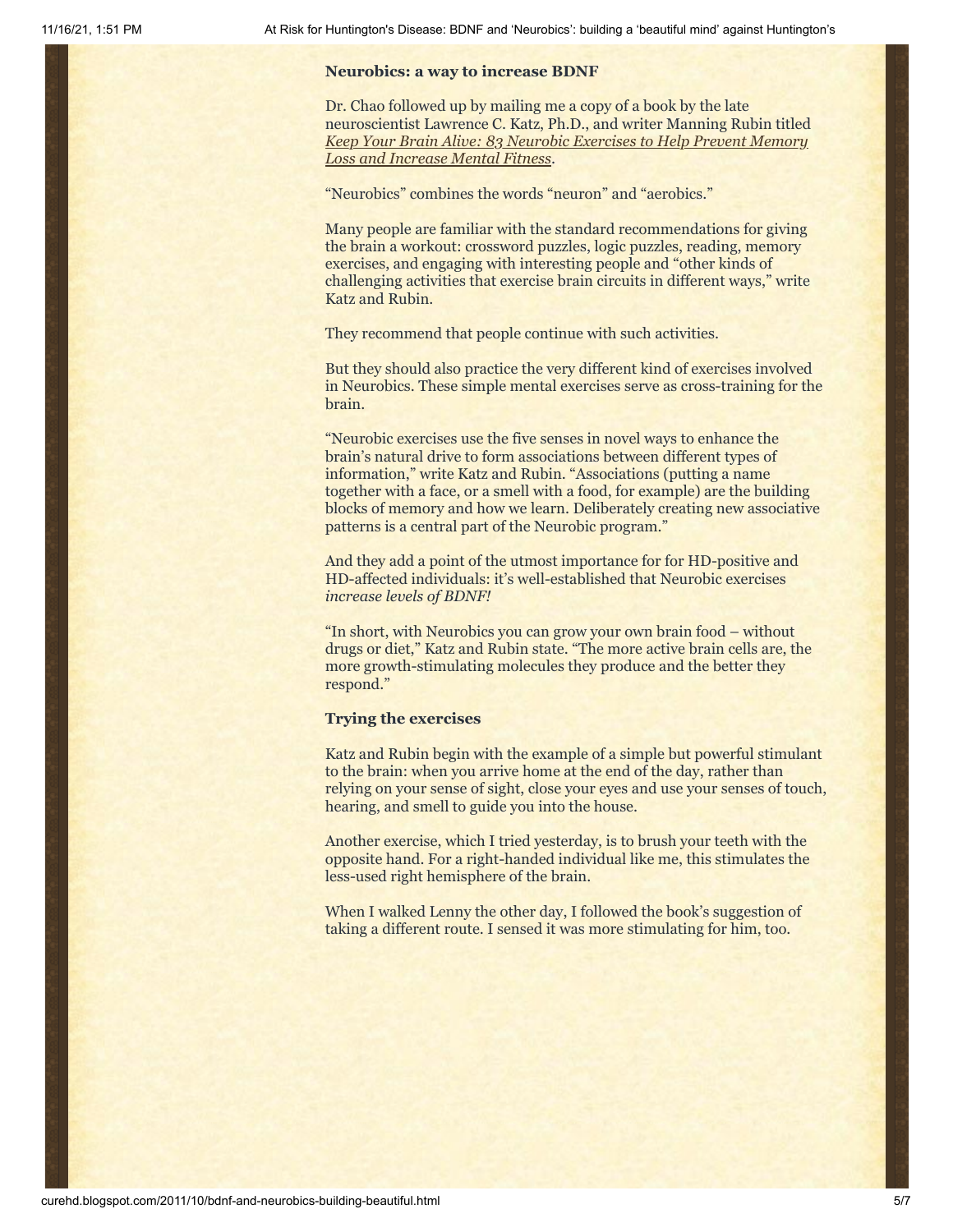## **Neurobics: a way to increase BDNF**

Dr. Chao followed up by mailing me a copy of a book by the late neuroscientist Lawrence C. Katz, Ph.D., and writer Manning Rubin titled *[Keep Your Brain Alive: 83 Neurobic Exercises to Help Prevent Memory](http://www.amazon.com/Keep-Your-Brain-Alive-Exercises/dp/B005M4860K/ref=sr_1_1?s=books&ie=UTF8&qid=1318278799&sr=1-1) Loss and Increase Mental Fitness*.

"Neurobics" combines the words "neuron" and "aerobics."

Many people are familiar with the standard recommendations for giving the brain a workout: crossword puzzles, logic puzzles, reading, memory exercises, and engaging with interesting people and "other kinds of challenging activities that exercise brain circuits in different ways," write Katz and Rubin.

They recommend that people continue with such activities.

But they should also practice the very different kind of exercises involved in Neurobics. These simple mental exercises serve as cross-training for the brain.

"Neurobic exercises use the five senses in novel ways to enhance the brain's natural drive to form associations between different types of information," write Katz and Rubin. "Associations (putting a name together with a face, or a smell with a food, for example) are the building blocks of memory and how we learn. Deliberately creating new associative patterns is a central part of the Neurobic program."

And they add a point of the utmost importance for for HD-positive and HD-affected individuals: it's well-established that Neurobic exercises *increase levels of BDNF!*

"In short, with Neurobics you can grow your own brain food – without drugs or diet," Katz and Rubin state. "The more active brain cells are, the more growth-stimulating molecules they produce and the better they respond."

## **Trying the exercises**

Katz and Rubin begin with the example of a simple but powerful stimulant to the brain: when you arrive home at the end of the day, rather than relying on your sense of sight, close your eyes and use your senses of touch, hearing, and smell to guide you into the house.

Another exercise, which I tried yesterday, is to brush your teeth with the opposite hand. For a right-handed individual like me, this stimulates the less-used right hemisphere of the brain.

When I walked Lenny the other day, I followed the book's suggestion of taking a different route. I sensed it was more stimulating for him, too.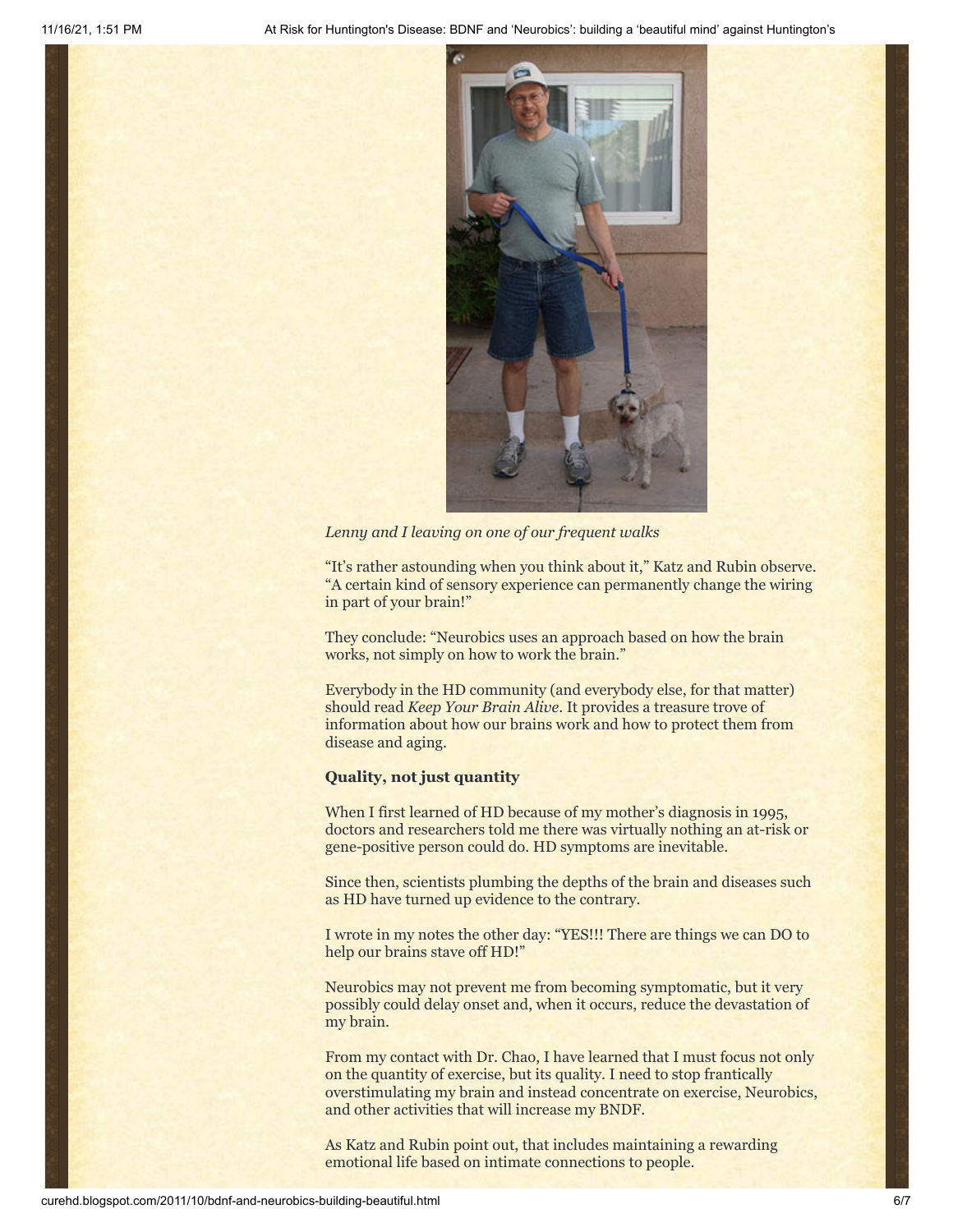

*Lenny and I leaving on one of our frequent walks*

"It's rather astounding when you think about it," Katz and Rubin observe. "A certain kind of sensory experience can permanently change the wiring in part of your brain!"

They conclude: "Neurobics uses an approach based on how the brain works, not simply on how to work the brain."

Everybody in the HD community (and everybody else, for that matter) should read *Keep Your Brain Alive*. It provides a treasure trove of information about how our brains work and how to protect them from disease and aging.

## **Quality, not just quantity**

When I first learned of HD because of my mother's diagnosis in 1995, doctors and researchers told me there was virtually nothing an at-risk or gene-positive person could do. HD symptoms are inevitable.

Since then, scientists plumbing the depths of the brain and diseases such as HD have turned up evidence to the contrary.

I wrote in my notes the other day: "YES!!! There are things we can DO to help our brains stave off HD!"

Neurobics may not prevent me from becoming symptomatic, but it very possibly could delay onset and, when it occurs, reduce the devastation of my brain.

From my contact with Dr. Chao, I have learned that I must focus not only on the quantity of exercise, but its quality. I need to stop frantically overstimulating my brain and instead concentrate on exercise, Neurobics, and other activities that will increase my BNDF.

As Katz and Rubin point out, that includes maintaining a rewarding emotional life based on intimate connections to people.